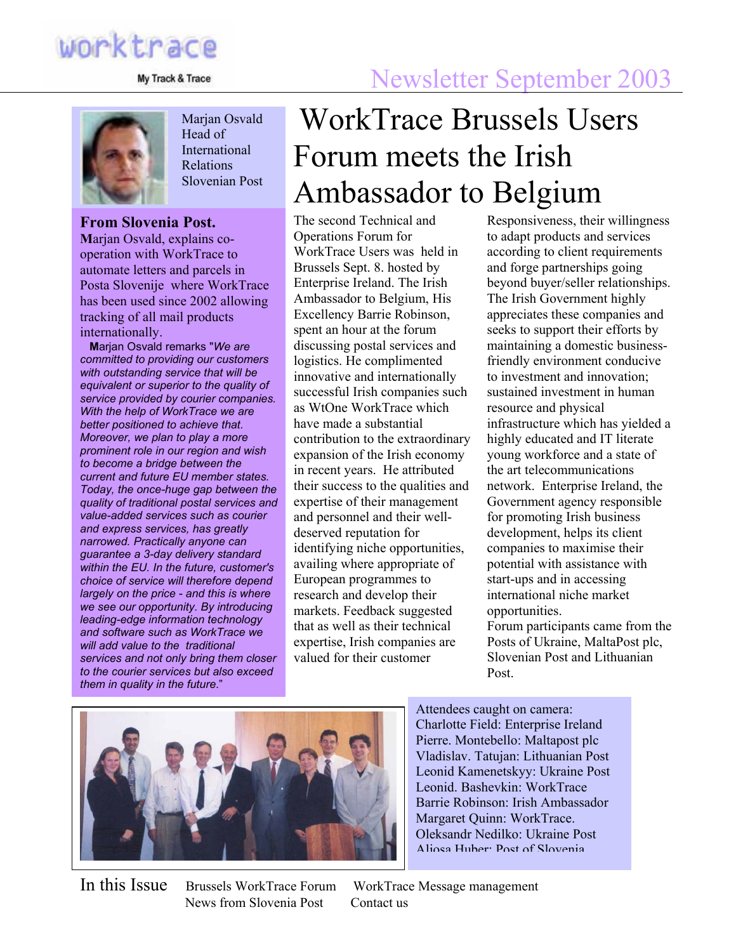

My Track & Trace

Marjan Osvald Head of **International** Relations Slovenian Post

#### **From Slovenia Post.**

**M**arjan Osvald, explains cooperation with WorkTrace to automate letters and parcels in Posta Slovenije where WorkTrace has been used since 2002 allowing tracking of all mail products internationally.

**M**arjan Osvald remarks "*We are committed to providing our customers with outstanding service that will be equivalent or superior to the quality of service provided by courier companies. With the help of WorkTrace we are better positioned to achieve that. Moreover, we plan to play a more prominent role in our region and wish to become a bridge between the current and future EU member states. Today, the once-huge gap between the quality of traditional postal services and value-added services such as courier and express services, has greatly narrowed. Practically anyone can guarantee a 3-day delivery standard within the EU. In the future, customer's choice of service will therefore depend largely on the price - and this is where we see our opportunity. By introducing leading-edge information technology and software such as WorkTrace we will add value to the traditional services and not only bring them closer to the courier services but also exceed them in quality in the future*."

# WorkTrace Brussels Users Forum meets the Irish Ambassador to Belgium

The second Technical and Operations Forum for WorkTrace Users was held in Brussels Sept. 8. hosted by Enterprise Ireland. The Irish Ambassador to Belgium, His Excellency Barrie Robinson, spent an hour at the forum discussing postal services and logistics. He complimented innovative and internationally successful Irish companies such as WtOne WorkTrace which have made a substantial contribution to the extraordinary expansion of the Irish economy in recent years. He attributed their success to the qualities and expertise of their management and personnel and their welldeserved reputation for identifying niche opportunities, availing where appropriate of European programmes to research and develop their markets. Feedback suggested that as well as their technical expertise, Irish companies are valued for their customer

Responsiveness, their willingness to adapt products and services according to client requirements and forge partnerships going beyond buyer/seller relationships. The Irish Government highly appreciates these companies and seeks to support their efforts by maintaining a domestic businessfriendly environment conducive to investment and innovation; sustained investment in human resource and physical infrastructure which has yielded a highly educated and IT literate young workforce and a state of the art telecommunications network. Enterprise Ireland, the Government agency responsible for promoting Irish business development, helps its client companies to maximise their potential with assistance with start-ups and in accessing international niche market opportunities. Forum participants came from the

Posts of Ukraine, MaltaPost plc, Slovenian Post and Lithuanian Post.



Attendees caught on camera: Charlotte Field: Enterprise Ireland Pierre. Montebello: Maltapost plc Vladislav. Tatujan: Lithuanian Post Leonid Kamenetskyy: Ukraine Post Leonid. Bashevkin: WorkTrace Barrie Robinson: Irish Ambassador Margaret Quinn: WorkTrace. Oleksandr Nedilko: Ukraine Post Aljosa Huber: Post of Slovenia

News from Slovenia Post Contact us

In this Issue Brussels WorkTrace Forum WorkTrace Message management

## Newsletter September 2003